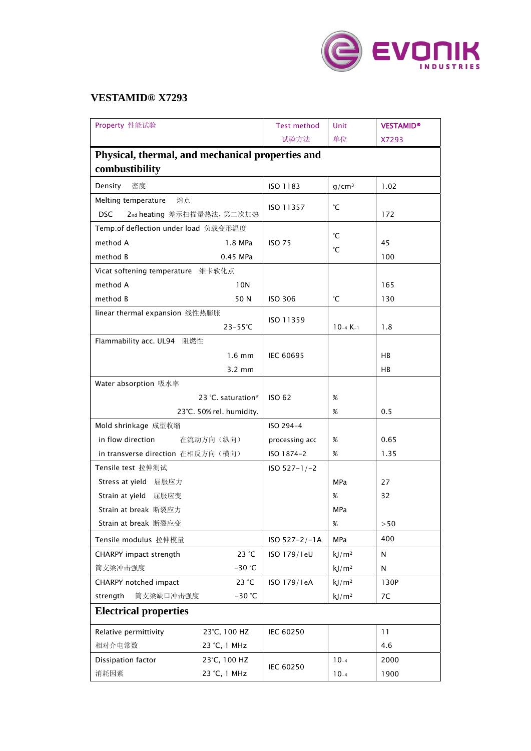

## **VESTAMID® X7293**

| Property 性能试验                                    |                    | <b>Test method</b> | Unit              | <b>VESTAMID®</b> |  |  |  |
|--------------------------------------------------|--------------------|--------------------|-------------------|------------------|--|--|--|
|                                                  |                    | 试验方法               | 单位                | X7293            |  |  |  |
| Physical, thermal, and mechanical properties and |                    |                    |                   |                  |  |  |  |
| combustibility                                   |                    |                    |                   |                  |  |  |  |
| 密度<br>Density                                    |                    | ISO 1183           | $g/cm^3$          | 1.02             |  |  |  |
| Melting temperature<br>熔点                        |                    | ISO 11357          | °С                |                  |  |  |  |
| 2nd heating 差示扫描量热法, 第二次加热<br><b>DSC</b>         |                    |                    |                   | 172              |  |  |  |
| Temp.of deflection under load 负载变形温度             |                    |                    |                   |                  |  |  |  |
| method A                                         | 1.8 MPa            | <b>ISO 75</b>      | °С                | 45               |  |  |  |
| method B                                         | 0.45 MPa           |                    | °С                | 100              |  |  |  |
| Vicat softening temperature 维卡软化点                |                    |                    |                   |                  |  |  |  |
| method A                                         | 10N                |                    |                   | 165              |  |  |  |
| method B                                         | 50 N               | <b>ISO 306</b>     | °С                | 130              |  |  |  |
| linear thermal expansion 线性热膨胀                   |                    |                    |                   |                  |  |  |  |
|                                                  | $23 - 55^{\circ}C$ | ISO 11359          | $10-4 K-1$        | 1.8              |  |  |  |
| Flammability acc. UL94 阻燃性                       |                    |                    |                   |                  |  |  |  |
| $1.6$ mm                                         |                    | <b>IEC 60695</b>   |                   | <b>HB</b>        |  |  |  |
|                                                  | $3.2 \text{ mm}$   |                    |                   | HB               |  |  |  |
| Water absorption 吸水率                             |                    |                    |                   |                  |  |  |  |
| 23 °C. saturation*                               |                    | <b>ISO 62</b>      | $\%$              |                  |  |  |  |
| 23°C. 50% rel. humidity.                         |                    |                    | %                 | 0.5              |  |  |  |
| Mold shrinkage 成型收缩                              |                    | ISO 294-4          |                   |                  |  |  |  |
| in flow direction<br>在流动方向(纵向)                   |                    | processing acc     | %                 | 0.65             |  |  |  |
| in transverse direction 在相反方向(横向)                |                    | ISO 1874-2         | $\%$              | 1.35             |  |  |  |
| Tensile test 拉伸测试                                |                    | $ISO 527-1/-2$     |                   |                  |  |  |  |
| Stress at yield 屈服应力                             |                    |                    | <b>MPa</b>        | 27               |  |  |  |
| Strain at yield 屈服应变                             |                    |                    | %                 | 32               |  |  |  |
| Strain at break 断裂应力                             |                    |                    | MPa               |                  |  |  |  |
| Strain at break 断裂应变                             |                    |                    | %                 | >50              |  |  |  |
| Tensile modulus 拉伸模量                             |                    | $ISO 527 - 2/-1A$  | <b>MPa</b>        | 400              |  |  |  |
| CHARPY impact strength                           | 23 °C              | ISO 179/1eU        | kJ/m <sup>2</sup> | N                |  |  |  |
| 简支梁冲击强度                                          | $-30$ °C           |                    | kJ/m <sup>2</sup> | N                |  |  |  |
| CHARPY notched impact                            | 23 °C              | ISO 179/1eA        | kJ/m <sup>2</sup> | 130P             |  |  |  |
| strength<br>简支梁缺口冲击强度                            | $-30$ °C           |                    | kJ/m <sup>2</sup> | 7C               |  |  |  |
| <b>Electrical properties</b>                     |                    |                    |                   |                  |  |  |  |
| Relative permittivity<br>23°C, 100 HZ            |                    | IEC 60250          |                   | 11               |  |  |  |
| 相对介电常数<br>23 °C, 1 MHz                           |                    |                    |                   | 4.6              |  |  |  |
| Dissipation factor<br>23°C, 100 HZ               |                    |                    | $10-4$            | 2000             |  |  |  |
| 消耗因素<br>23 °C, 1 MHz                             |                    | IEC 60250          | $10-4$            | 1900             |  |  |  |